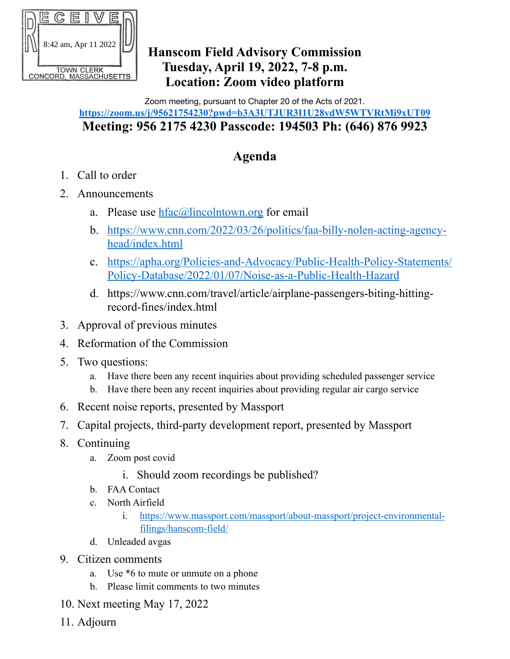

## **Hanscom Field Advisory Commission Tuesday, April 19, 2022, 7-8 p.m. Location: Zoom video platform**

Zoom meeting, pursuant to Chapter 20 of the Acts of 2021.

## **https://zoom.us/j/95621754230?pwd=b3A3UTJUR3I1U28ydW5WTVRtMi9xUT09 Meeting: 956 2175 4230 Passcode: 194503 Ph: (646) 876 9923**

## **Agenda**

- 1. Call to order
- 2. Announcements
	- a. Please use  $hfac(\partial)$ lincolntown.org for email
	- b. [https://www.cnn.com/2022/03/26/politics/faa-billy-nolen-acting-agency](https://www.cnn.com/2022/03/26/politics/faa-billy-nolen-acting-agency-head/index.html)[head/index.html](https://www.cnn.com/2022/03/26/politics/faa-billy-nolen-acting-agency-head/index.html)
	- c. [https://apha.org/Policies-and-Advocacy/Public-Health-Policy-Statements/](https://apha.org/Policies-and-Advocacy/Public-Health-Policy-Statements/Policy-Database/2022/01/07/Noise-as-a-Public-Health-Hazard) [Policy-Database/2022/01/07/Noise-as-a-Public-Health-Hazard](https://apha.org/Policies-and-Advocacy/Public-Health-Policy-Statements/Policy-Database/2022/01/07/Noise-as-a-Public-Health-Hazard)
	- d. https://www.cnn.com/travel/article/airplane-passengers-biting-hittingrecord-fines/index.html
- 3. Approval of previous minutes
- 4. Reformation of the Commission
- 5. Two questions:
	- a. Have there been any recent inquiries about providing scheduled passenger service
	- b. Have there been any recent inquiries about providing regular air cargo service
- 6. Recent noise reports, presented by Massport
- 7. Capital projects, third-party development report, presented by Massport
- 8. Continuing
	- a. Zoom post covid
		- i. Should zoom recordings be published?
	- b. FAA Contact
	- c. North Airfield
		- i. [https://www.massport.com/massport/about-massport/project-environmental](https://www.massport.com/massport/about-massport/project-environmental-filings/hanscom-field/)[filings/hanscom-field/](https://www.massport.com/massport/about-massport/project-environmental-filings/hanscom-field/)
	- d. Unleaded avgas
- 9. Citizen comments
	- a. Use \*6 to mute or unmute on a phone
	- b. Please limit comments to two minutes
- 10. Next meeting May 17, 2022
- 11. Adjourn